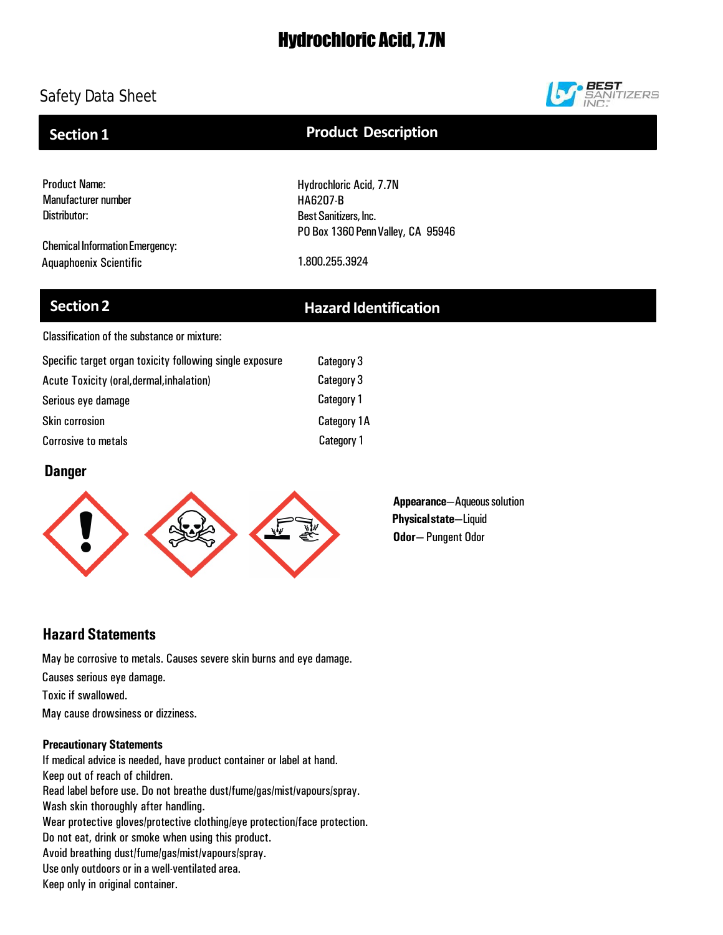# Hydrochloric Acid, 7.7N

# Safety Data Sheet



## **Section 1**

## **Product Description**

Product Name: Manufacturer number Distributor:

Chemical Information Emergency: Aquaphoenix Scientific 1.800.255.3924

PO Box 1360 Penn Valley, CA 95946

Hydrochloric Acid, 7.7N

HA6207-B Best Sanitizers, Inc.

# **Section 2 Hazard Identification**

Classification of the substance or mixture:

| Specific target organ toxicity following single exposure | Category 3         |
|----------------------------------------------------------|--------------------|
| Acute Toxicity (oral, dermal, inhalation)                | Category 3         |
| Serious eye damage                                       | Category 1         |
| <b>Skin corrosion</b>                                    | <b>Category 1A</b> |
| <b>Corrosive to metals</b>                               | Category 1         |

## **Danger**



**Appearance**—Aqueous solution **Physicalstate**—Liquid **Odor**— Pungent Odor

## **Hazard Statements**

May be corrosive to metals. Causes severe skin burns and eye damage. Causes serious eye damage. Toxic if swallowed. May cause drowsiness or dizziness.

## **Precautionary Statements**

If medical advice is needed, have product container or label at hand. Keep out of reach of children. Read label before use. Do not breathe dust/fume/gas/mist/vapours/spray. Wash skin thoroughly after handling. Wear protective gloves/protective clothing/eye protection/face protection. Do not eat, drink or smoke when using this product. Avoid breathing dust/fume/gas/mist/vapours/spray. Use only outdoors or in a well-ventilated area. Keep only in original container.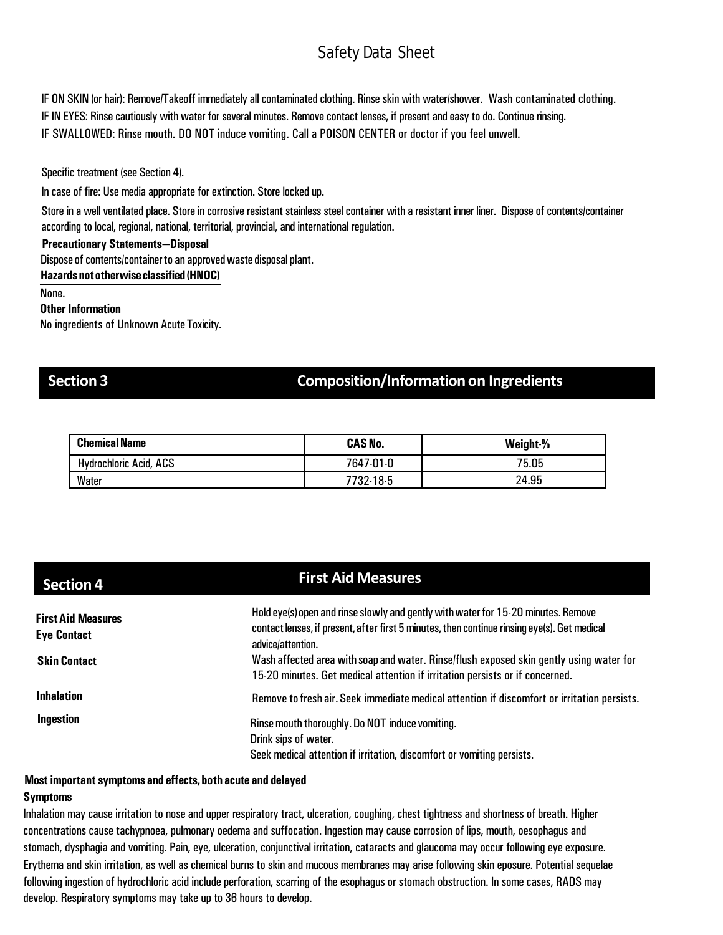IF ON SKIN (or hair): Remove/Takeoff immediately all contaminated clothing. Rinse skin with water/shower. Wash contaminated clothing. IF IN EYES: Rinse cautiously with water for several minutes. Remove contact lenses, if present and easy to do. Continue rinsing. IF SWALLOWED: Rinse mouth. DO NOT induce vomiting. Call a POISON CENTER or doctor if you feel unwell.

Specific treatment (see Section 4).

In case of fire: Use media appropriate for extinction. Store locked up.

Store in a well ventilated place. Store in corrosive resistant stainless steel container with a resistant inner liner. Dispose of contents/container according to local, regional, national, territorial, provincial, and international regulation.

### **Precautionary Statements—Disposal**

Dispose of contents/container to an approved waste disposal plant.

**Hazardsnototherwiseclassified (HNOC)**

None.

### **Other Information**

No ingredients of Unknown Acute Toxicity.

## **Section 3 Composition/Informationon Ingredients**

| <b>Chemical Name</b>          | <b>CAS No.</b> | Weight % |
|-------------------------------|----------------|----------|
| <b>Hydrochloric Acid, ACS</b> | 7647-01-0      | 75.05    |
| Water                         | 7732-18-5      | 24.95    |

| <b>Section 4</b>                                | <b>First Aid Measures</b>                                                                                                                                                                              |  |
|-------------------------------------------------|--------------------------------------------------------------------------------------------------------------------------------------------------------------------------------------------------------|--|
| <b>First Aid Measures</b><br><b>Eye Contact</b> | Hold eye(s) open and rinse slowly and gently with water for 15-20 minutes. Remove<br>contact lenses, if present, after first 5 minutes, then continue rinsing eye(s). Get medical<br>advice/attention. |  |
| <b>Skin Contact</b>                             | Wash affected area with soap and water. Rinse/flush exposed skin gently using water for<br>15-20 minutes. Get medical attention if irritation persists or if concerned.                                |  |
| <b>Inhalation</b>                               | Remove to fresh air. Seek immediate medical attention if discomfort or irritation persists.                                                                                                            |  |
| Ingestion                                       | Rinse mouth thoroughly. Do NOT induce vomiting.<br>Drink sips of water.<br>Seek medical attention if irritation, discomfort or vomiting persists.                                                      |  |

### **Most important symptoms and effects,both acute and delayed**

### **Symptoms**

Inhalation may cause irritation to nose and upper respiratory tract, ulceration, coughing, chest tightness and shortness of breath. Higher concentrations cause tachypnoea, pulmonary oedema and suffocation. Ingestion may cause corrosion of lips, mouth, oesophagus and stomach, dysphagia and vomiting. Pain, eye, ulceration, conjunctival irritation, cataracts and glaucoma may occur following eye exposure. Erythema and skin irritation, as well as chemical burns to skin and mucous membranes may arise following skin eposure. Potential sequelae following ingestion of hydrochloric acid include perforation, scarring of the esophagus or stomach obstruction. In some cases, RADS may develop. Respiratory symptoms may take up to 36 hours to develop.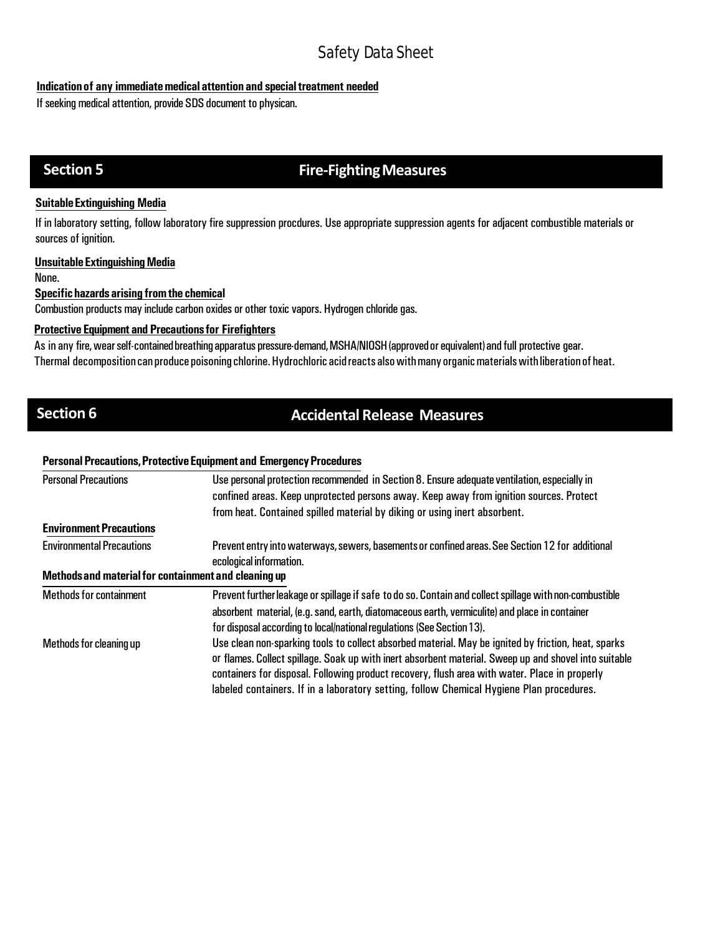## **Indication of any immediate medical attention and special treatment needed**

If seeking medical attention, provide SDS document to physican.

# **Section 5 Fire-Fighting Measures**

## **SuitableExtinguishing Media**

If in laboratory setting, follow laboratory fire suppression procdures. Use appropriate suppression agents for adjacent combustible materials or sources of ignition.

## **UnsuitableExtinguishingMedia**

None.

## **Specifichazards arising fromthe chemical**

Combustion products may include carbon oxides or other toxic vapors. Hydrogen chloride gas.

## **Protective Equipment and Precautionsfor Firefighters**

As in any fire,wearself-containedbreathingapparatus pressure-demand,MSHA/NIOSH(approvedorequivalent)and full protective gear. Thermal decomposition can produce poisoning chlorine. Hydrochloric acid reacts also with many organic materials with liberation of heat.

# **Section 6 <b>Accidental** Release Measures

### **Personal Precautions, Protective Equipment and Emergency Procedures**

| <b>Personal Precautions</b>                          | Use personal protection recommended in Section 8. Ensure adequate ventilation, especially in<br>confined areas. Keep unprotected persons away. Keep away from ignition sources. Protect                |  |  |
|------------------------------------------------------|--------------------------------------------------------------------------------------------------------------------------------------------------------------------------------------------------------|--|--|
|                                                      | from heat. Contained spilled material by diking or using inert absorbent.                                                                                                                              |  |  |
| <b>Environment Precautions</b>                       |                                                                                                                                                                                                        |  |  |
| <b>Environmental Precautions</b>                     | Prevent entry into waterways, sewers, basements or confined areas. See Section 12 for additional<br>ecological information.                                                                            |  |  |
| Methods and material for containment and cleaning up |                                                                                                                                                                                                        |  |  |
| <b>Methods for containment</b>                       | Prevent further leakage or spillage if safe to do so. Contain and collect spillage with non-combustible                                                                                                |  |  |
|                                                      | absorbent material, (e.g. sand, earth, diatomaceous earth, vermiculite) and place in container                                                                                                         |  |  |
|                                                      | for disposal according to local/national regulations (See Section 13).                                                                                                                                 |  |  |
| Methods for cleaning up                              | Use clean non-sparking tools to collect absorbed material. May be ignited by friction, heat, sparks                                                                                                    |  |  |
|                                                      | or flames. Collect spillage. Soak up with inert absorbent material. Sweep up and shovel into suitable<br>containers for disposal. Following product recovery, flush area with water. Place in properly |  |  |
|                                                      | labeled containers. If in a laboratory setting, follow Chemical Hygiene Plan procedures.                                                                                                               |  |  |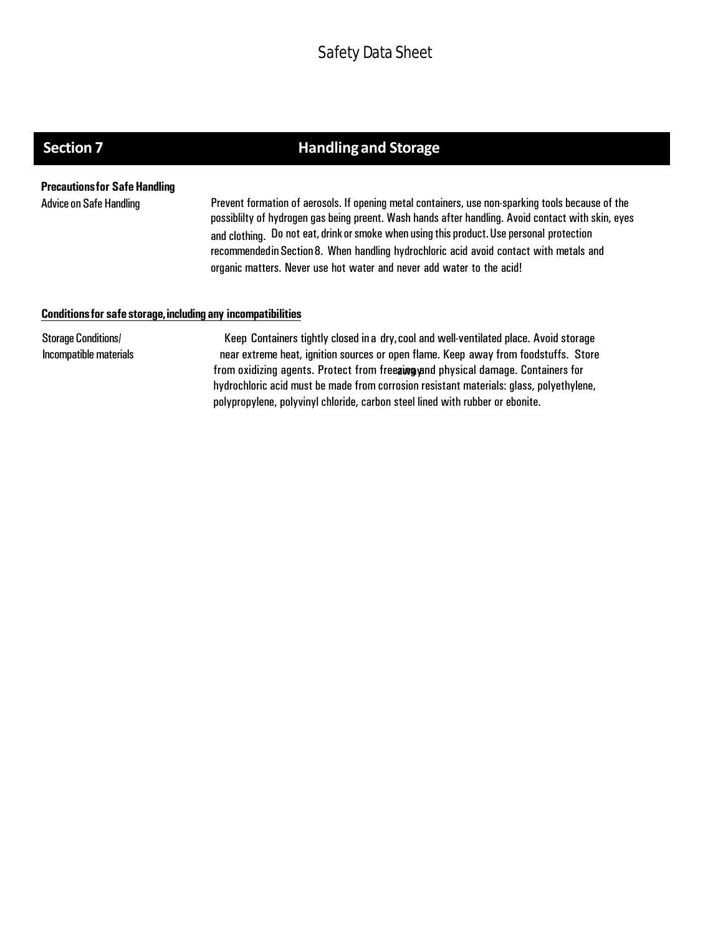# **Section 7 Handling and Storage**

**Precautionsfor SafeHandling**

Advice on Safe Handling Prevent formation of aerosols. If opening metal containers, use non-sparking tools because of the possiblilty of hydrogen gas being preent. Wash hands after handling. Avoid contact with skin, eyes and clothing. Do not eat, drink or smoke when using this product. Use personal protection recommendedin Section8. When handling hydrochloric acid avoid contact with metals and organic matters. Never use hot water and never add water to the acid!

## **Conditionsfor safe storage,including any incompatibilities**

Storage Conditions/ Incompatible materials

Keep Containers tightly closed in a dry,cool and well-ventilated place. Avoid storage near extreme heat, ignition sources or open flame. Keep away from foodstuffs. Store from oxidizing agents. Protect from freezing and physical damage. Containers for hydrochloric acid must be made from corrosion resistant materials: glass, polyethylene, polypropylene, polyvinyl chloride, carbon steel lined with rubber or ebonite.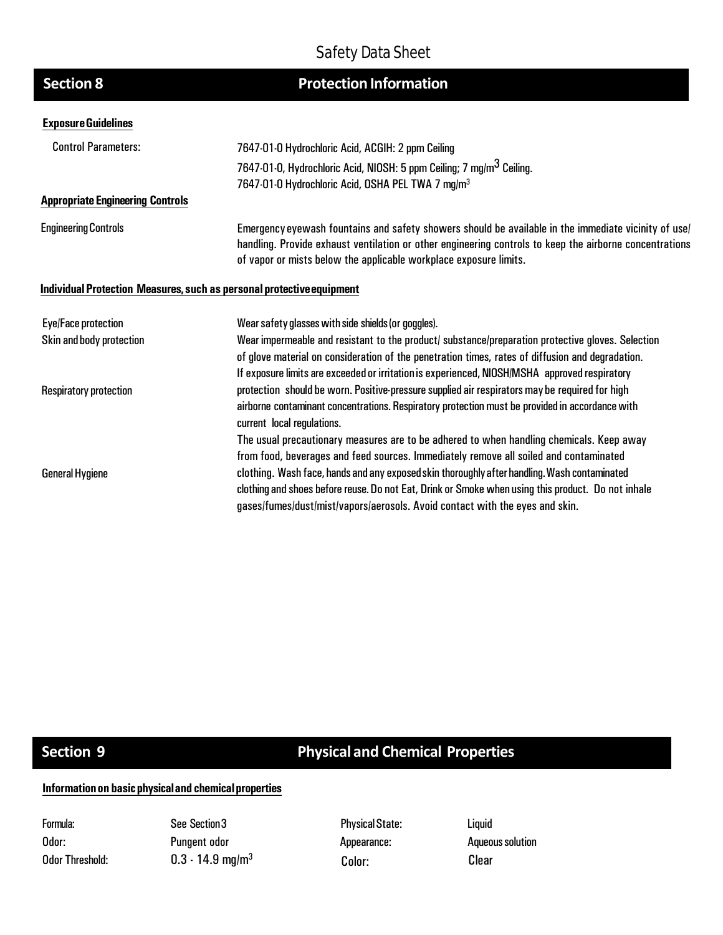| <b>Protection Information</b> |
|-------------------------------|
|                               |

## **ExposureGuidelines**

**Section 8** 

| <b>Control Parameters:</b>              | 7647-01-0 Hydrochloric Acid, ACGIH: 2 ppm Ceiling                                                                                                                                                                                                                                    |  |  |
|-----------------------------------------|--------------------------------------------------------------------------------------------------------------------------------------------------------------------------------------------------------------------------------------------------------------------------------------|--|--|
|                                         | 7647-01-0, Hydrochloric Acid, NIOSH: 5 ppm Ceiling; 7 mg/m <sup>3</sup> Ceiling.                                                                                                                                                                                                     |  |  |
|                                         | 7647-01-0 Hydrochloric Acid, OSHA PEL TWA 7 mg/m <sup>3</sup>                                                                                                                                                                                                                        |  |  |
| <b>Appropriate Engineering Controls</b> |                                                                                                                                                                                                                                                                                      |  |  |
| <b>Engineering Controls</b>             | Emergency eyewash fountains and safety showers should be available in the immediate vicinity of use/<br>handling. Provide exhaust ventilation or other engineering controls to keep the airborne concentrations<br>of vapor or mists below the applicable workplace exposure limits. |  |  |
|                                         | Individual Protection Measures, such as personal protective equipment                                                                                                                                                                                                                |  |  |
| Eye/Face protection                     | Wear safety glasses with side shields (or goggles).                                                                                                                                                                                                                                  |  |  |
| Skin and body protection                | Wear impermeable and resistant to the product/ substance/preparation protective gloves. Selection                                                                                                                                                                                    |  |  |
|                                         | of glove material on consideration of the penetration times, rates of diffusion and degradation.                                                                                                                                                                                     |  |  |
|                                         | If exposure limits are exceeded or irritation is experienced, NIOSH/MSHA approved respiratory                                                                                                                                                                                        |  |  |
| <b>Respiratory protection</b>           | protection should be worn. Positive pressure supplied air respirators may be required for high                                                                                                                                                                                       |  |  |
|                                         | airborne contaminant concentrations. Respiratory protection must be provided in accordance with<br>current local regulations.                                                                                                                                                        |  |  |
|                                         | The usual precautionary measures are to be adhered to when handling chemicals. Keep away                                                                                                                                                                                             |  |  |
|                                         | from food, beverages and feed sources. Immediately remove all soiled and contaminated                                                                                                                                                                                                |  |  |
| <b>General Hygiene</b>                  | clothing. Wash face, hands and any exposed skin thoroughly after handling. Wash contaminated                                                                                                                                                                                         |  |  |
|                                         | clothing and shoes before reuse. Do not Eat, Drink or Smoke when using this product. Do not inhale                                                                                                                                                                                   |  |  |
|                                         | gases/fumes/dust/mist/vapors/aerosols. Avoid contact with the eyes and skin.                                                                                                                                                                                                         |  |  |

# **Section 9 Physical and Chemical Properties**

## **Informationon basicphysicaland chemicalproperties**

Formula: Odor: Odor Threshold: See Section 3 Pungent odor 0.3 - 14.9 mg/m<sup>3</sup> Physical State: Appearance: Color: Clear

Liquid **Aqueous solution**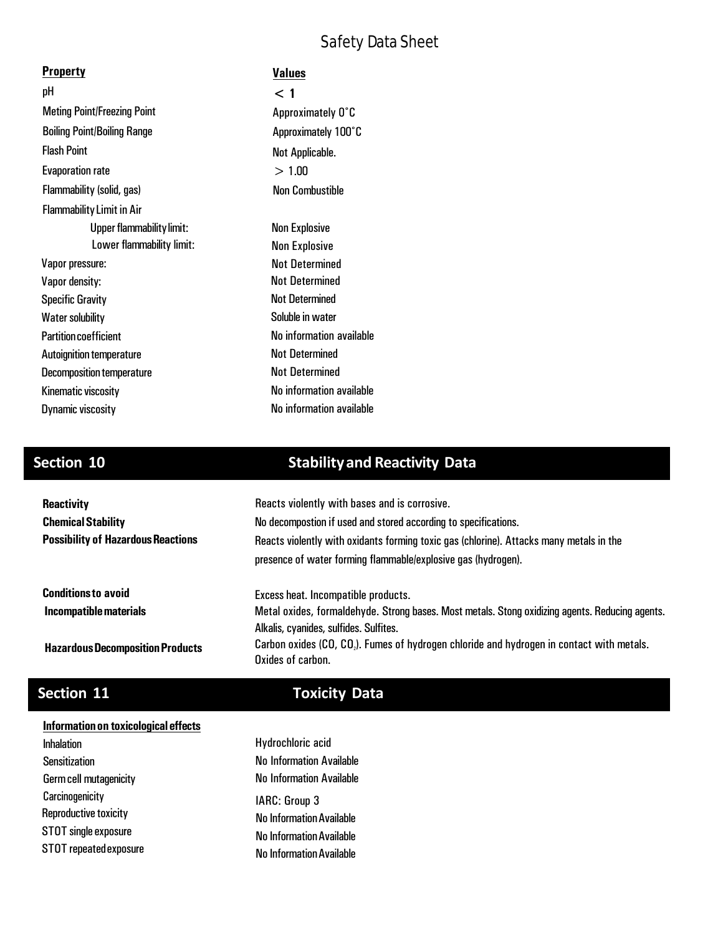| <b>Property</b>                    | <b>Values</b>            |
|------------------------------------|--------------------------|
| рH                                 | $<$ 1                    |
| <b>Meting Point/Freezing Point</b> | Approximately 0°C        |
| <b>Boiling Point/Boiling Range</b> | Approximately 100°C      |
| <b>Flash Point</b>                 | Not Applicable.          |
| <b>Evaporation rate</b>            | > 1.00                   |
| Flammability (solid, gas)          | <b>Non Combustible</b>   |
| <b>Flammability Limit in Air</b>   |                          |
| <b>Upper flammability limit:</b>   | <b>Non Explosive</b>     |
| Lower flammability limit:          | <b>Non Explosive</b>     |
| Vapor pressure:                    | <b>Not Determined</b>    |
| Vapor density:                     | <b>Not Determined</b>    |
| <b>Specific Gravity</b>            | <b>Not Determined</b>    |
| <b>Water solubility</b>            | Soluble in water         |
| <b>Partition coefficient</b>       | No information available |
| Autoignition temperature           | <b>Not Determined</b>    |
| <b>Decomposition temperature</b>   | <b>Not Determined</b>    |
| Kinematic viscosity                | No information available |
| <b>Dynamic viscosity</b>           | No information available |

# **Section 10 Stabilityand Reactivity Data**

| <b>Reactivity</b>                         | Reacts violently with bases and is corrosive.                                                         |  |  |
|-------------------------------------------|-------------------------------------------------------------------------------------------------------|--|--|
| <b>Chemical Stability</b>                 | No decompostion if used and stored according to specifications.                                       |  |  |
| <b>Possibility of Hazardous Reactions</b> | Reacts violently with oxidants forming toxic gas (chlorine). Attacks many metals in the               |  |  |
|                                           | presence of water forming flammable/explosive gas (hydrogen).                                         |  |  |
| <b>Conditions to avoid</b>                | Excess heat. Incompatible products.                                                                   |  |  |
| Incompatible materials                    | Metal oxides, formaldehyde. Strong bases. Most metals. Stong oxidizing agents. Reducing agents.       |  |  |
|                                           | Alkalis, cyanides, sulfides. Sulfites.                                                                |  |  |
| <b>Hazardous Decomposition Products</b>   | Carbon oxides (CO, CO <sub>2</sub> ). Fumes of hydrogen chloride and hydrogen in contact with metals. |  |  |
|                                           | Oxides of carbon.                                                                                     |  |  |

# **Section 11 Toxicity Data**

## **Informationon toxicological effects**

Inhalation Sensitization Germcell mutagenicity Carcinogenicity **IARC:** Group 3 Reproductive toxicity STOT single exposure STOT repeatedexposure

# No InformationAvailable No InformationAvailable No InformationAvailable Hydrochloric acid No Information Available No Information Available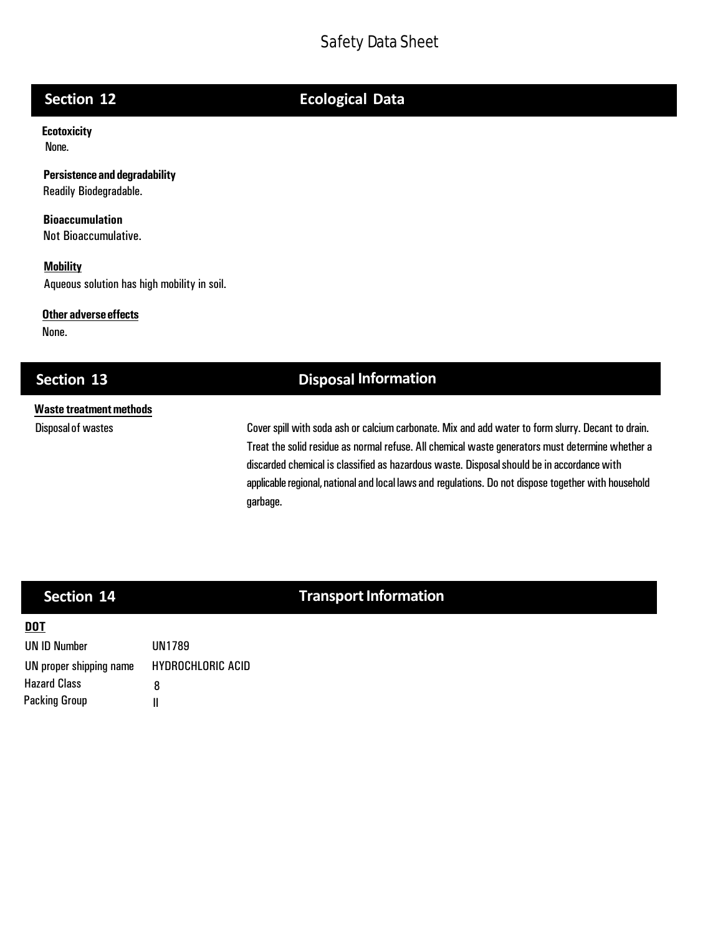# **Section 12 Ecological Data**

**Ecotoxicity**  None.

**Persistenceand degradability** Readily Biodegradable.

**Bioaccumulation** Not Bioaccumulative.

**Mobility** Aqueous solution has high mobility in soil.

### **Other adverse effects**

None.

## **Section 13 Disposal Information**

# **Waste treatmentmethods**

Disposal of wastes **Cover spill with soda ash or calcium carbonate.** Mix and add water to form slurry. Decant to drain. Treat the solid residue as normal refuse. All chemical waste generators must determine whether a discarded chemical is classified as hazardous waste. Disposal should be in accordance with applicable regional, national and local laws and regulations. Do not dispose together with household garbage.

# **Section 14 Transport Information**

## **DOT**

| UN ID Number            | UN1789            |
|-------------------------|-------------------|
| UN proper shipping name | HYDROCHLORIC ACID |
| <b>Hazard Class</b>     | 8                 |
| <b>Packing Group</b>    | н                 |